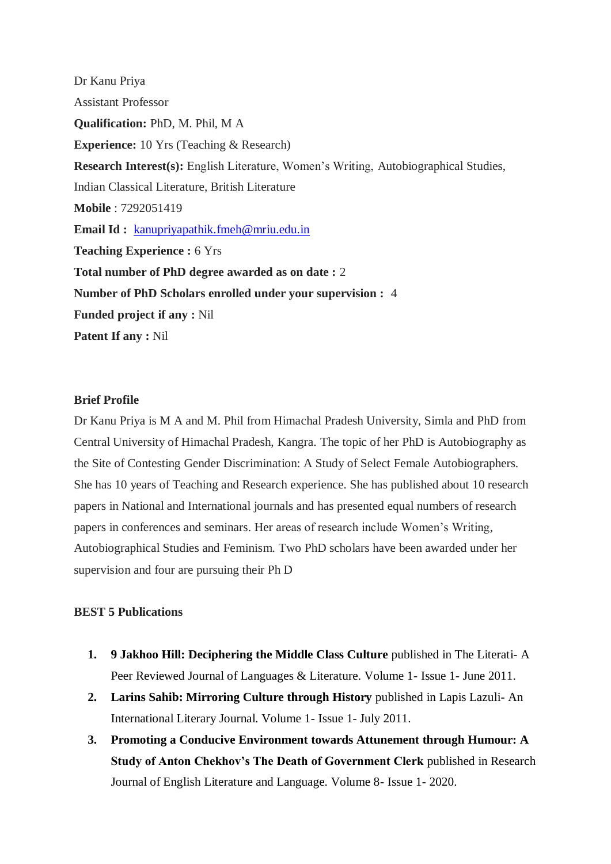Dr Kanu Priya Assistant Professor **Qualification:** PhD, M. Phil, M A **Experience:** 10 Yrs (Teaching & Research) **Research Interest(s):** English Literature, Women's Writing, Autobiographical Studies, Indian Classical Literature, British Literature **Mobile** : 7292051419 **Email Id :** [kanupriyapathik.fmeh@mriu.edu.in](mailto:kanupriyapathik.fmeh@mriu.edu.in) **Teaching Experience :** 6 Yrs **Total number of PhD degree awarded as on date :** 2 **Number of PhD Scholars enrolled under your supervision :** 4 **Funded project if any :** Nil **Patent If any :** Nil

## **Brief Profile**

Dr Kanu Priya is M A and M. Phil from Himachal Pradesh University, Simla and PhD from Central University of Himachal Pradesh, Kangra. The topic of her PhD is Autobiography as the Site of Contesting Gender Discrimination: A Study of Select Female Autobiographers. She has 10 years of Teaching and Research experience. She has published about 10 research papers in National and International journals and has presented equal numbers of research papers in conferences and seminars. Her areas of research include Women's Writing, Autobiographical Studies and Feminism. Two PhD scholars have been awarded under her supervision and four are pursuing their Ph D

## **BEST 5 Publications**

- **1. 9 Jakhoo Hill: Deciphering the Middle Class Culture** published in The Literati- A Peer Reviewed Journal of Languages & Literature. Volume 1- Issue 1- June 2011.
- **2. Larins Sahib: Mirroring Culture through History** published in Lapis Lazuli- An International Literary Journal. Volume 1- Issue 1- July 2011.
- **3. Promoting a Conducive Environment towards Attunement through Humour: A Study of Anton Chekhov's The Death of Government Clerk** published in Research Journal of English Literature and Language. Volume 8- Issue 1- 2020.